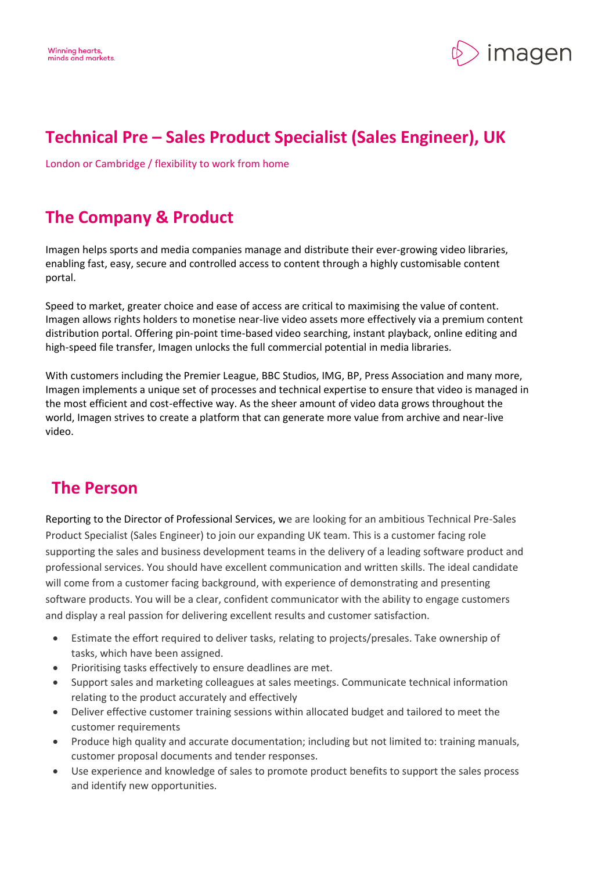

# **Technical Pre – Sales Product Specialist (Sales Engineer), UK**

London or Cambridge / flexibility to work from home

## **The Company & Product**

Imagen helps sports and media companies manage and distribute their ever-growing video libraries, enabling fast, easy, secure and controlled access to content through a highly customisable content portal.

Speed to market, greater choice and ease of access are critical to maximising the value of content. Imagen allows rights holders to monetise near-live video assets more effectively via a premium content distribution portal. Offering pin-point time-based video searching, instant playback, online editing and high-speed file transfer, Imagen unlocks the full commercial potential in media libraries.

With customers including the Premier League, BBC Studios, IMG, BP, Press Association and many more, Imagen implements a unique set of processes and technical expertise to ensure that video is managed in the most efficient and cost-effective way. As the sheer amount of video data grows throughout the world, Imagen strives to create a platform that can generate more value from archive and near-live video.

#### **The Person**

Reporting to the Director of Professional Services, we are looking for an ambitious Technical Pre-Sales Product Specialist (Sales Engineer) to join our expanding UK team. This is a customer facing role supporting the sales and business development teams in the delivery of a leading software product and professional services. You should have excellent communication and written skills. The ideal candidate will come from a customer facing background, with experience of demonstrating and presenting software products. You will be a clear, confident communicator with the ability to engage customers and display a real passion for delivering excellent results and customer satisfaction.

- Estimate the effort required to deliver tasks, relating to projects/presales. Take ownership of tasks, which have been assigned.
- Prioritising tasks effectively to ensure deadlines are met.
- Support sales and marketing colleagues at sales meetings. Communicate technical information relating to the product accurately and effectively
- Deliver effective customer training sessions within allocated budget and tailored to meet the customer requirements
- Produce high quality and accurate documentation; including but not limited to: training manuals, customer proposal documents and tender responses.
- Use experience and knowledge of sales to promote product benefits to support the sales process and identify new opportunities.